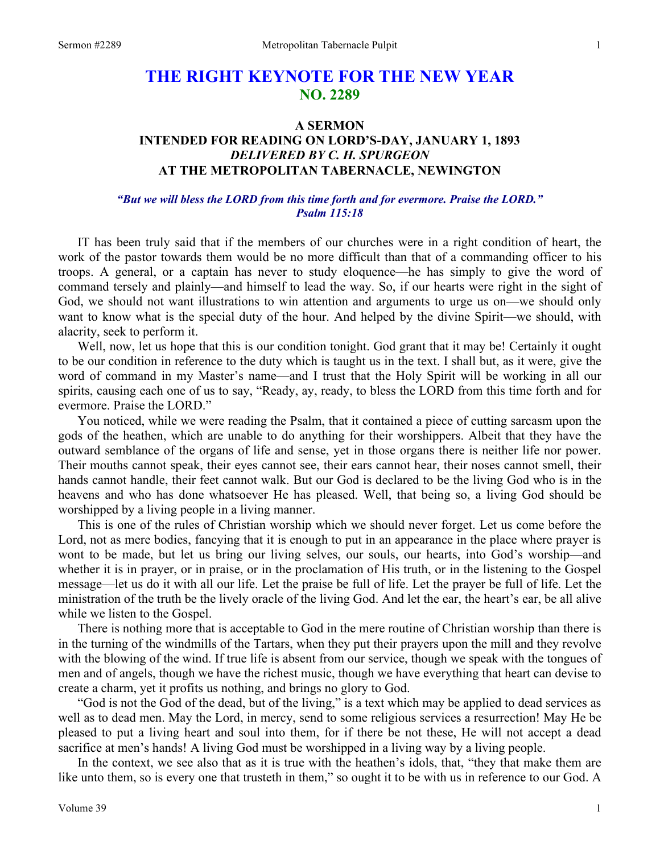# **THE RIGHT KEYNOTE FOR THE NEW YEAR NO. 2289**

# **A SERMON INTENDED FOR READING ON LORD'S-DAY, JANUARY 1, 1893** *DELIVERED BY C. H. SPURGEON*  **AT THE METROPOLITAN TABERNACLE, NEWINGTON**

#### *"But we will bless the LORD from this time forth and for evermore. Praise the LORD." Psalm 115:18*

IT has been truly said that if the members of our churches were in a right condition of heart, the work of the pastor towards them would be no more difficult than that of a commanding officer to his troops. A general, or a captain has never to study eloquence—he has simply to give the word of command tersely and plainly—and himself to lead the way. So, if our hearts were right in the sight of God, we should not want illustrations to win attention and arguments to urge us on—we should only want to know what is the special duty of the hour. And helped by the divine Spirit—we should, with alacrity, seek to perform it.

Well, now, let us hope that this is our condition tonight. God grant that it may be! Certainly it ought to be our condition in reference to the duty which is taught us in the text. I shall but, as it were, give the word of command in my Master's name—and I trust that the Holy Spirit will be working in all our spirits, causing each one of us to say, "Ready, ay, ready, to bless the LORD from this time forth and for evermore. Praise the LORD."

You noticed, while we were reading the Psalm, that it contained a piece of cutting sarcasm upon the gods of the heathen, which are unable to do anything for their worshippers. Albeit that they have the outward semblance of the organs of life and sense, yet in those organs there is neither life nor power. Their mouths cannot speak, their eyes cannot see, their ears cannot hear, their noses cannot smell, their hands cannot handle, their feet cannot walk. But our God is declared to be the living God who is in the heavens and who has done whatsoever He has pleased. Well, that being so, a living God should be worshipped by a living people in a living manner.

This is one of the rules of Christian worship which we should never forget. Let us come before the Lord, not as mere bodies, fancying that it is enough to put in an appearance in the place where prayer is wont to be made, but let us bring our living selves, our souls, our hearts, into God's worship—and whether it is in prayer, or in praise, or in the proclamation of His truth, or in the listening to the Gospel message—let us do it with all our life. Let the praise be full of life. Let the prayer be full of life. Let the ministration of the truth be the lively oracle of the living God. And let the ear, the heart's ear, be all alive while we listen to the Gospel.

There is nothing more that is acceptable to God in the mere routine of Christian worship than there is in the turning of the windmills of the Tartars, when they put their prayers upon the mill and they revolve with the blowing of the wind. If true life is absent from our service, though we speak with the tongues of men and of angels, though we have the richest music, though we have everything that heart can devise to create a charm, yet it profits us nothing, and brings no glory to God.

"God is not the God of the dead, but of the living," is a text which may be applied to dead services as well as to dead men. May the Lord, in mercy, send to some religious services a resurrection! May He be pleased to put a living heart and soul into them, for if there be not these, He will not accept a dead sacrifice at men's hands! A living God must be worshipped in a living way by a living people.

In the context, we see also that as it is true with the heathen's idols, that, "they that make them are like unto them, so is every one that trusteth in them," so ought it to be with us in reference to our God. A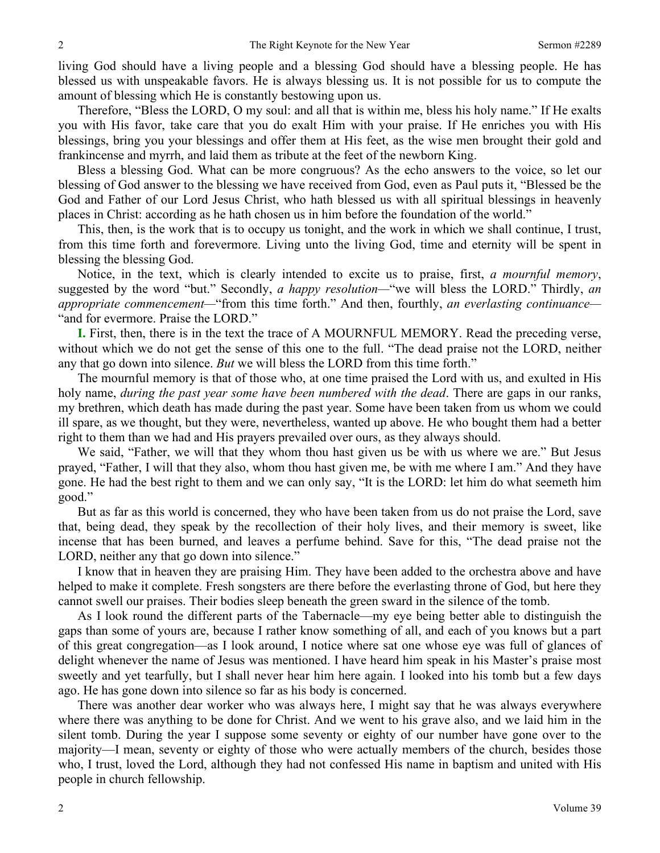living God should have a living people and a blessing God should have a blessing people. He has blessed us with unspeakable favors. He is always blessing us. It is not possible for us to compute the amount of blessing which He is constantly bestowing upon us.

Therefore, "Bless the LORD, O my soul: and all that is within me, bless his holy name." If He exalts you with His favor, take care that you do exalt Him with your praise. If He enriches you with His blessings, bring you your blessings and offer them at His feet, as the wise men brought their gold and frankincense and myrrh, and laid them as tribute at the feet of the newborn King.

Bless a blessing God. What can be more congruous? As the echo answers to the voice, so let our blessing of God answer to the blessing we have received from God, even as Paul puts it, "Blessed be the God and Father of our Lord Jesus Christ, who hath blessed us with all spiritual blessings in heavenly places in Christ: according as he hath chosen us in him before the foundation of the world."

This, then, is the work that is to occupy us tonight, and the work in which we shall continue, I trust, from this time forth and forevermore. Living unto the living God, time and eternity will be spent in blessing the blessing God.

Notice, in the text, which is clearly intended to excite us to praise, first, *a mournful memory*, suggested by the word "but." Secondly, *a happy resolution—*"we will bless the LORD." Thirdly, *an appropriate commencement—*"from this time forth." And then, fourthly, *an everlasting continuance—* "and for evermore. Praise the LORD."

**I.** First, then, there is in the text the trace of A MOURNFUL MEMORY. Read the preceding verse, without which we do not get the sense of this one to the full. "The dead praise not the LORD, neither any that go down into silence. *But* we will bless the LORD from this time forth."

The mournful memory is that of those who, at one time praised the Lord with us, and exulted in His holy name, *during the past year some have been numbered with the dead*. There are gaps in our ranks, my brethren, which death has made during the past year. Some have been taken from us whom we could ill spare, as we thought, but they were, nevertheless, wanted up above. He who bought them had a better right to them than we had and His prayers prevailed over ours, as they always should.

We said, "Father, we will that they whom thou hast given us be with us where we are." But Jesus prayed, "Father, I will that they also, whom thou hast given me, be with me where I am." And they have gone. He had the best right to them and we can only say, "It is the LORD: let him do what seemeth him good."

But as far as this world is concerned, they who have been taken from us do not praise the Lord, save that, being dead, they speak by the recollection of their holy lives, and their memory is sweet, like incense that has been burned, and leaves a perfume behind. Save for this, "The dead praise not the LORD, neither any that go down into silence."

I know that in heaven they are praising Him. They have been added to the orchestra above and have helped to make it complete. Fresh songsters are there before the everlasting throne of God, but here they cannot swell our praises. Their bodies sleep beneath the green sward in the silence of the tomb.

As I look round the different parts of the Tabernacle—my eye being better able to distinguish the gaps than some of yours are, because I rather know something of all, and each of you knows but a part of this great congregation—as I look around, I notice where sat one whose eye was full of glances of delight whenever the name of Jesus was mentioned. I have heard him speak in his Master's praise most sweetly and yet tearfully, but I shall never hear him here again. I looked into his tomb but a few days ago. He has gone down into silence so far as his body is concerned.

There was another dear worker who was always here, I might say that he was always everywhere where there was anything to be done for Christ. And we went to his grave also, and we laid him in the silent tomb. During the year I suppose some seventy or eighty of our number have gone over to the majority—I mean, seventy or eighty of those who were actually members of the church, besides those who, I trust, loved the Lord, although they had not confessed His name in baptism and united with His people in church fellowship.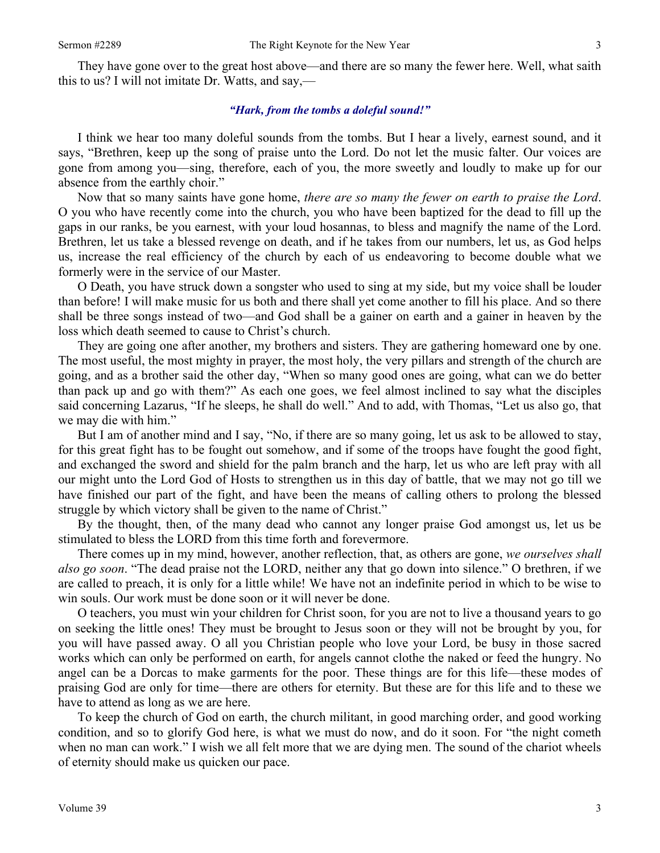They have gone over to the great host above—and there are so many the fewer here. Well, what saith this to us? I will not imitate Dr. Watts, and say,—

#### *"Hark, from the tombs a doleful sound!"*

I think we hear too many doleful sounds from the tombs. But I hear a lively, earnest sound, and it says, "Brethren, keep up the song of praise unto the Lord. Do not let the music falter. Our voices are gone from among you—sing, therefore, each of you, the more sweetly and loudly to make up for our absence from the earthly choir."

Now that so many saints have gone home, *there are so many the fewer on earth to praise the Lord*. O you who have recently come into the church, you who have been baptized for the dead to fill up the gaps in our ranks, be you earnest, with your loud hosannas, to bless and magnify the name of the Lord. Brethren, let us take a blessed revenge on death, and if he takes from our numbers, let us, as God helps us, increase the real efficiency of the church by each of us endeavoring to become double what we formerly were in the service of our Master.

O Death, you have struck down a songster who used to sing at my side, but my voice shall be louder than before! I will make music for us both and there shall yet come another to fill his place. And so there shall be three songs instead of two—and God shall be a gainer on earth and a gainer in heaven by the loss which death seemed to cause to Christ's church.

They are going one after another, my brothers and sisters. They are gathering homeward one by one. The most useful, the most mighty in prayer, the most holy, the very pillars and strength of the church are going, and as a brother said the other day, "When so many good ones are going, what can we do better than pack up and go with them?" As each one goes, we feel almost inclined to say what the disciples said concerning Lazarus, "If he sleeps, he shall do well." And to add, with Thomas, "Let us also go, that we may die with him."

But I am of another mind and I say, "No, if there are so many going, let us ask to be allowed to stay, for this great fight has to be fought out somehow, and if some of the troops have fought the good fight, and exchanged the sword and shield for the palm branch and the harp, let us who are left pray with all our might unto the Lord God of Hosts to strengthen us in this day of battle, that we may not go till we have finished our part of the fight, and have been the means of calling others to prolong the blessed struggle by which victory shall be given to the name of Christ."

By the thought, then, of the many dead who cannot any longer praise God amongst us, let us be stimulated to bless the LORD from this time forth and forevermore.

There comes up in my mind, however, another reflection, that, as others are gone, *we ourselves shall also go soon*. "The dead praise not the LORD, neither any that go down into silence." O brethren, if we are called to preach, it is only for a little while! We have not an indefinite period in which to be wise to win souls. Our work must be done soon or it will never be done.

O teachers, you must win your children for Christ soon, for you are not to live a thousand years to go on seeking the little ones! They must be brought to Jesus soon or they will not be brought by you, for you will have passed away. O all you Christian people who love your Lord, be busy in those sacred works which can only be performed on earth, for angels cannot clothe the naked or feed the hungry. No angel can be a Dorcas to make garments for the poor. These things are for this life—these modes of praising God are only for time—there are others for eternity. But these are for this life and to these we have to attend as long as we are here.

To keep the church of God on earth, the church militant, in good marching order, and good working condition, and so to glorify God here, is what we must do now, and do it soon. For "the night cometh when no man can work." I wish we all felt more that we are dying men. The sound of the chariot wheels of eternity should make us quicken our pace.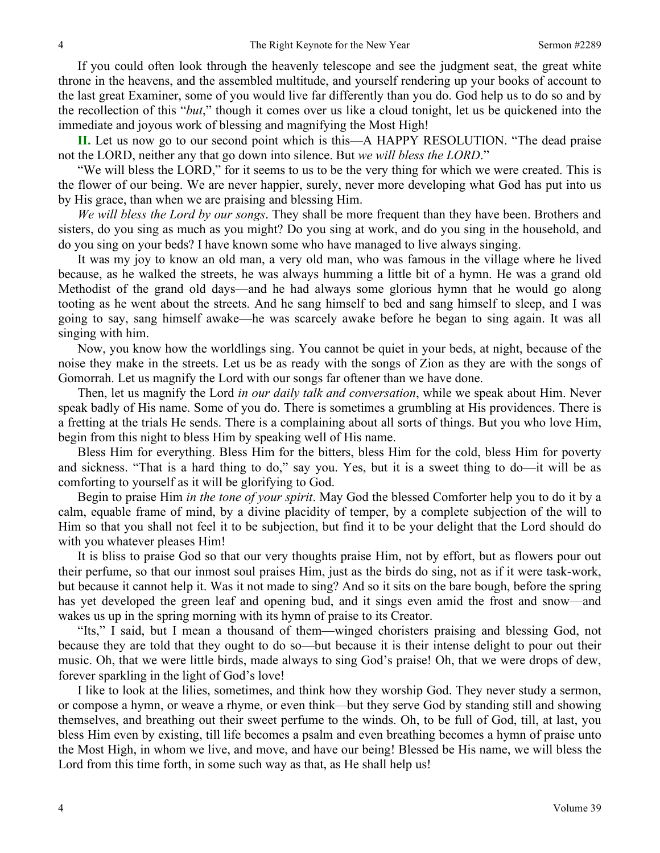If you could often look through the heavenly telescope and see the judgment seat, the great white throne in the heavens, and the assembled multitude, and yourself rendering up your books of account to the last great Examiner, some of you would live far differently than you do. God help us to do so and by the recollection of this "*but*," though it comes over us like a cloud tonight, let us be quickened into the immediate and joyous work of blessing and magnifying the Most High!

**II.** Let us now go to our second point which is this—A HAPPY RESOLUTION. "The dead praise not the LORD, neither any that go down into silence. But *we will bless the LORD*."

"We will bless the LORD," for it seems to us to be the very thing for which we were created. This is the flower of our being. We are never happier, surely, never more developing what God has put into us by His grace, than when we are praising and blessing Him.

*We will bless the Lord by our songs*. They shall be more frequent than they have been. Brothers and sisters, do you sing as much as you might? Do you sing at work, and do you sing in the household, and do you sing on your beds? I have known some who have managed to live always singing.

It was my joy to know an old man, a very old man, who was famous in the village where he lived because, as he walked the streets, he was always humming a little bit of a hymn. He was a grand old Methodist of the grand old days—and he had always some glorious hymn that he would go along tooting as he went about the streets. And he sang himself to bed and sang himself to sleep, and I was going to say, sang himself awake—he was scarcely awake before he began to sing again. It was all singing with him.

Now, you know how the worldlings sing. You cannot be quiet in your beds, at night, because of the noise they make in the streets. Let us be as ready with the songs of Zion as they are with the songs of Gomorrah. Let us magnify the Lord with our songs far oftener than we have done.

Then, let us magnify the Lord *in our daily talk and conversation*, while we speak about Him. Never speak badly of His name. Some of you do. There is sometimes a grumbling at His providences. There is a fretting at the trials He sends. There is a complaining about all sorts of things. But you who love Him, begin from this night to bless Him by speaking well of His name.

Bless Him for everything. Bless Him for the bitters, bless Him for the cold, bless Him for poverty and sickness. "That is a hard thing to do," say you. Yes, but it is a sweet thing to do—it will be as comforting to yourself as it will be glorifying to God.

Begin to praise Him *in the tone of your spirit*. May God the blessed Comforter help you to do it by a calm, equable frame of mind, by a divine placidity of temper, by a complete subjection of the will to Him so that you shall not feel it to be subjection, but find it to be your delight that the Lord should do with you whatever pleases Him!

It is bliss to praise God so that our very thoughts praise Him, not by effort, but as flowers pour out their perfume, so that our inmost soul praises Him, just as the birds do sing, not as if it were task-work, but because it cannot help it. Was it not made to sing? And so it sits on the bare bough, before the spring has yet developed the green leaf and opening bud, and it sings even amid the frost and snow—and wakes us up in the spring morning with its hymn of praise to its Creator.

"Its," I said, but I mean a thousand of them—winged choristers praising and blessing God, not because they are told that they ought to do so—but because it is their intense delight to pour out their music. Oh, that we were little birds, made always to sing God's praise! Oh, that we were drops of dew, forever sparkling in the light of God's love!

I like to look at the lilies, sometimes, and think how they worship God. They never study a sermon, or compose a hymn, or weave a rhyme, or even think*—*but they serve God by standing still and showing themselves, and breathing out their sweet perfume to the winds. Oh, to be full of God, till, at last, you bless Him even by existing, till life becomes a psalm and even breathing becomes a hymn of praise unto the Most High, in whom we live, and move, and have our being! Blessed be His name, we will bless the Lord from this time forth, in some such way as that, as He shall help us!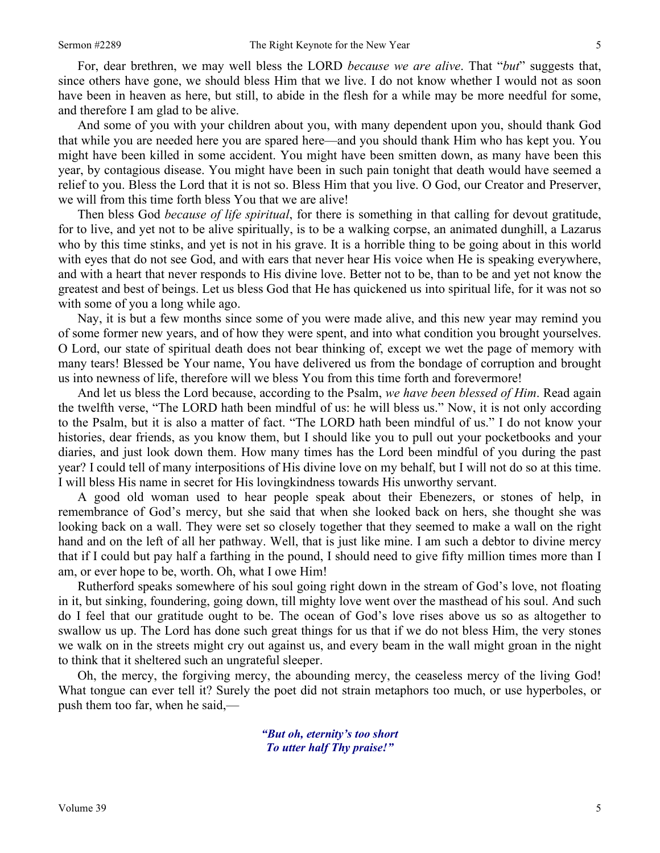For, dear brethren, we may well bless the LORD *because we are alive*. That "*but*" suggests that, since others have gone, we should bless Him that we live. I do not know whether I would not as soon have been in heaven as here, but still, to abide in the flesh for a while may be more needful for some, and therefore I am glad to be alive.

And some of you with your children about you, with many dependent upon you, should thank God that while you are needed here you are spared here—and you should thank Him who has kept you. You might have been killed in some accident. You might have been smitten down, as many have been this year, by contagious disease. You might have been in such pain tonight that death would have seemed a relief to you. Bless the Lord that it is not so. Bless Him that you live. O God, our Creator and Preserver, we will from this time forth bless You that we are alive!

Then bless God *because of life spiritual*, for there is something in that calling for devout gratitude, for to live, and yet not to be alive spiritually, is to be a walking corpse, an animated dunghill, a Lazarus who by this time stinks, and yet is not in his grave. It is a horrible thing to be going about in this world with eyes that do not see God, and with ears that never hear His voice when He is speaking everywhere, and with a heart that never responds to His divine love. Better not to be, than to be and yet not know the greatest and best of beings. Let us bless God that He has quickened us into spiritual life, for it was not so with some of you a long while ago.

Nay, it is but a few months since some of you were made alive, and this new year may remind you of some former new years, and of how they were spent, and into what condition you brought yourselves. O Lord, our state of spiritual death does not bear thinking of, except we wet the page of memory with many tears! Blessed be Your name, You have delivered us from the bondage of corruption and brought us into newness of life, therefore will we bless You from this time forth and forevermore!

And let us bless the Lord because, according to the Psalm, *we have been blessed of Him*. Read again the twelfth verse, "The LORD hath been mindful of us: he will bless us." Now, it is not only according to the Psalm, but it is also a matter of fact. "The LORD hath been mindful of us." I do not know your histories, dear friends, as you know them, but I should like you to pull out your pocketbooks and your diaries, and just look down them. How many times has the Lord been mindful of you during the past year? I could tell of many interpositions of His divine love on my behalf, but I will not do so at this time. I will bless His name in secret for His lovingkindness towards His unworthy servant.

A good old woman used to hear people speak about their Ebenezers, or stones of help, in remembrance of God's mercy, but she said that when she looked back on hers, she thought she was looking back on a wall. They were set so closely together that they seemed to make a wall on the right hand and on the left of all her pathway. Well, that is just like mine. I am such a debtor to divine mercy that if I could but pay half a farthing in the pound, I should need to give fifty million times more than I am, or ever hope to be, worth. Oh, what I owe Him!

Rutherford speaks somewhere of his soul going right down in the stream of God's love, not floating in it, but sinking, foundering, going down, till mighty love went over the masthead of his soul. And such do I feel that our gratitude ought to be. The ocean of God's love rises above us so as altogether to swallow us up. The Lord has done such great things for us that if we do not bless Him, the very stones we walk on in the streets might cry out against us, and every beam in the wall might groan in the night to think that it sheltered such an ungrateful sleeper.

Oh, the mercy, the forgiving mercy, the abounding mercy, the ceaseless mercy of the living God! What tongue can ever tell it? Surely the poet did not strain metaphors too much, or use hyperboles, or push them too far, when he said,—

> *"But oh, eternity's too short To utter half Thy praise!"*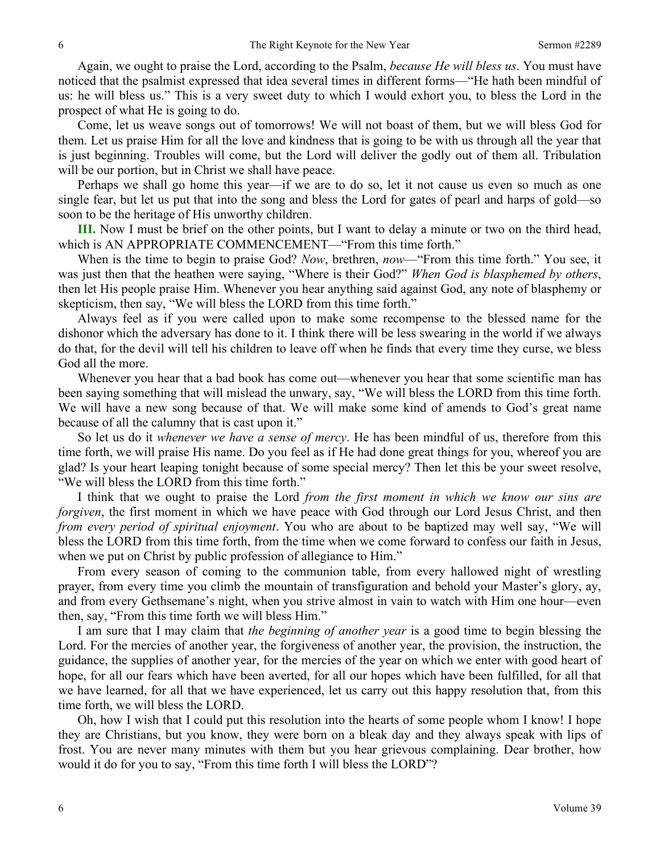Again, we ought to praise the Lord, according to the Psalm, *because He will bless us*. You must have noticed that the psalmist expressed that idea several times in different forms—"He hath been mindful of us: he will bless us." This is a very sweet duty to which I would exhort you, to bless the Lord in the prospect of what He is going to do.

Come, let us weave songs out of tomorrows! We will not boast of them, but we will bless God for them. Let us praise Him for all the love and kindness that is going to be with us through all the year that is just beginning. Troubles will come, but the Lord will deliver the godly out of them all. Tribulation will be our portion, but in Christ we shall have peace.

Perhaps we shall go home this year—if we are to do so, let it not cause us even so much as one single fear, but let us put that into the song and bless the Lord for gates of pearl and harps of gold—so soon to be the heritage of His unworthy children.

**III.** Now I must be brief on the other points, but I want to delay a minute or two on the third head, which is AN APPROPRIATE COMMENCEMENT—"From this time forth."

When is the time to begin to praise God? *Now*, brethren, *now*—"From this time forth." You see, it was just then that the heathen were saying, "Where is their God?" *When God is blasphemed by others*, then let His people praise Him. Whenever you hear anything said against God, any note of blasphemy or skepticism, then say, "We will bless the LORD from this time forth."

Always feel as if you were called upon to make some recompense to the blessed name for the dishonor which the adversary has done to it. I think there will be less swearing in the world if we always do that, for the devil will tell his children to leave off when he finds that every time they curse, we bless God all the more.

Whenever you hear that a bad book has come out—whenever you hear that some scientific man has been saying something that will mislead the unwary, say, "We will bless the LORD from this time forth. We will have a new song because of that. We will make some kind of amends to God's great name because of all the calumny that is cast upon it."

So let us do it *whenever we have a sense of mercy*. He has been mindful of us, therefore from this time forth, we will praise His name. Do you feel as if He had done great things for you, whereof you are glad? Is your heart leaping tonight because of some special mercy? Then let this be your sweet resolve, "We will bless the LORD from this time forth."

I think that we ought to praise the Lord *from the first moment in which we know our sins are forgiven*, the first moment in which we have peace with God through our Lord Jesus Christ, and then *from every period of spiritual enjoyment*. You who are about to be baptized may well say, "We will bless the LORD from this time forth, from the time when we come forward to confess our faith in Jesus, when we put on Christ by public profession of allegiance to Him."

From every season of coming to the communion table, from every hallowed night of wrestling prayer, from every time you climb the mountain of transfiguration and behold your Master's glory, ay, and from every Gethsemane's night, when you strive almost in vain to watch with Him one hour—even then, say, "From this time forth we will bless Him."

I am sure that I may claim that *the beginning of another year* is a good time to begin blessing the Lord. For the mercies of another year, the forgiveness of another year, the provision, the instruction, the guidance, the supplies of another year, for the mercies of the year on which we enter with good heart of hope, for all our fears which have been averted, for all our hopes which have been fulfilled, for all that we have learned, for all that we have experienced, let us carry out this happy resolution that, from this time forth, we will bless the LORD.

Oh, how I wish that I could put this resolution into the hearts of some people whom I know! I hope they are Christians, but you know, they were born on a bleak day and they always speak with lips of frost. You are never many minutes with them but you hear grievous complaining. Dear brother, how would it do for you to say, "From this time forth I will bless the LORD"?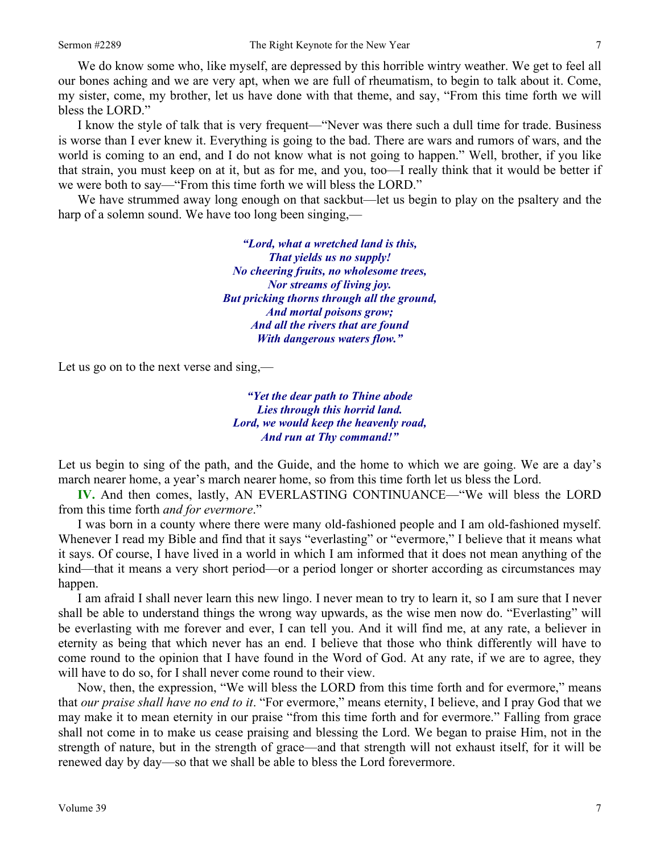We do know some who, like myself, are depressed by this horrible wintry weather. We get to feel all our bones aching and we are very apt, when we are full of rheumatism, to begin to talk about it. Come, my sister, come, my brother, let us have done with that theme, and say, "From this time forth we will bless the LORD."

I know the style of talk that is very frequent—"Never was there such a dull time for trade. Business is worse than I ever knew it. Everything is going to the bad. There are wars and rumors of wars, and the world is coming to an end, and I do not know what is not going to happen." Well, brother, if you like that strain, you must keep on at it, but as for me, and you, too—I really think that it would be better if we were both to say—"From this time forth we will bless the LORD."

We have strummed away long enough on that sackbut—let us begin to play on the psaltery and the harp of a solemn sound. We have too long been singing,—

> *"Lord, what a wretched land is this, That yields us no supply! No cheering fruits, no wholesome trees, Nor streams of living joy. But pricking thorns through all the ground, And mortal poisons grow; And all the rivers that are found With dangerous waters flow."*

Let us go on to the next verse and sing,—

*"Yet the dear path to Thine abode Lies through this horrid land. Lord, we would keep the heavenly road, And run at Thy command!"* 

Let us begin to sing of the path, and the Guide, and the home to which we are going. We are a day's march nearer home, a year's march nearer home, so from this time forth let us bless the Lord.

**IV.** And then comes, lastly, AN EVERLASTING CONTINUANCE—"We will bless the LORD from this time forth *and for evermore*."

I was born in a county where there were many old-fashioned people and I am old-fashioned myself. Whenever I read my Bible and find that it says "everlasting" or "evermore," I believe that it means what it says. Of course, I have lived in a world in which I am informed that it does not mean anything of the kind—that it means a very short period—or a period longer or shorter according as circumstances may happen.

I am afraid I shall never learn this new lingo. I never mean to try to learn it, so I am sure that I never shall be able to understand things the wrong way upwards, as the wise men now do. "Everlasting" will be everlasting with me forever and ever, I can tell you. And it will find me, at any rate, a believer in eternity as being that which never has an end. I believe that those who think differently will have to come round to the opinion that I have found in the Word of God. At any rate, if we are to agree, they will have to do so, for I shall never come round to their view.

Now, then, the expression, "We will bless the LORD from this time forth and for evermore," means that *our praise shall have no end to it*. "For evermore," means eternity, I believe, and I pray God that we may make it to mean eternity in our praise "from this time forth and for evermore." Falling from grace shall not come in to make us cease praising and blessing the Lord. We began to praise Him, not in the strength of nature, but in the strength of grace—and that strength will not exhaust itself, for it will be renewed day by day—so that we shall be able to bless the Lord forevermore.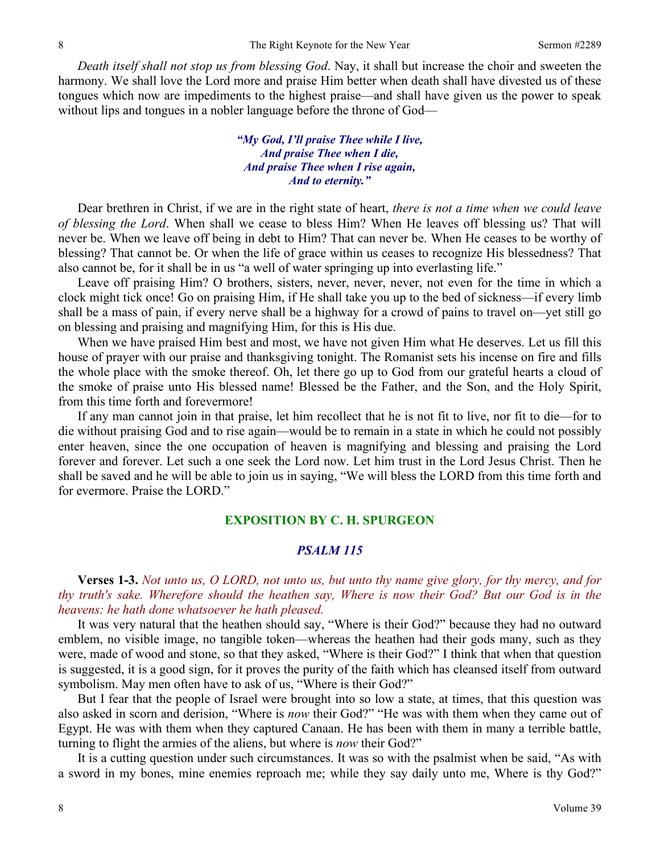*Death itself shall not stop us from blessing God*. Nay, it shall but increase the choir and sweeten the harmony. We shall love the Lord more and praise Him better when death shall have divested us of these tongues which now are impediments to the highest praise—and shall have given us the power to speak without lips and tongues in a nobler language before the throne of God—

#### *"My God, I'll praise Thee while I live, And praise Thee when I die, And praise Thee when I rise again, And to eternity."*

Dear brethren in Christ, if we are in the right state of heart, *there is not a time when we could leave of blessing the Lord*. When shall we cease to bless Him? When He leaves off blessing us? That will never be. When we leave off being in debt to Him? That can never be. When He ceases to be worthy of blessing? That cannot be. Or when the life of grace within us ceases to recognize His blessedness? That also cannot be, for it shall be in us "a well of water springing up into everlasting life."

Leave off praising Him? O brothers, sisters, never, never, never, not even for the time in which a clock might tick once! Go on praising Him, if He shall take you up to the bed of sickness—if every limb shall be a mass of pain, if every nerve shall be a highway for a crowd of pains to travel on—yet still go on blessing and praising and magnifying Him, for this is His due.

When we have praised Him best and most, we have not given Him what He deserves. Let us fill this house of prayer with our praise and thanksgiving tonight. The Romanist sets his incense on fire and fills the whole place with the smoke thereof. Oh, let there go up to God from our grateful hearts a cloud of the smoke of praise unto His blessed name! Blessed be the Father, and the Son, and the Holy Spirit, from this time forth and forevermore!

If any man cannot join in that praise, let him recollect that he is not fit to live, nor fit to die—for to die without praising God and to rise again—would be to remain in a state in which he could not possibly enter heaven, since the one occupation of heaven is magnifying and blessing and praising the Lord forever and forever. Let such a one seek the Lord now. Let him trust in the Lord Jesus Christ. Then he shall be saved and he will be able to join us in saying, "We will bless the LORD from this time forth and for evermore. Praise the LORD."

### **EXPOSITION BY C. H. SPURGEON**

## *PSALM 115*

**Verses 1-3.** *Not unto us, O LORD, not unto us, but unto thy name give glory, for thy mercy, and for thy truth's sake. Wherefore should the heathen say, Where is now their God? But our God is in the heavens: he hath done whatsoever he hath pleased.* 

It was very natural that the heathen should say, "Where is their God?" because they had no outward emblem, no visible image, no tangible token—whereas the heathen had their gods many, such as they were, made of wood and stone, so that they asked, "Where is their God?" I think that when that question is suggested, it is a good sign, for it proves the purity of the faith which has cleansed itself from outward symbolism. May men often have to ask of us, "Where is their God?"

But I fear that the people of Israel were brought into so low a state, at times, that this question was also asked in scorn and derision, "Where is *now* their God?" "He was with them when they came out of Egypt. He was with them when they captured Canaan. He has been with them in many a terrible battle, turning to flight the armies of the aliens, but where is *now* their God?"

It is a cutting question under such circumstances. It was so with the psalmist when be said, "As with a sword in my bones, mine enemies reproach me; while they say daily unto me, Where is thy God?"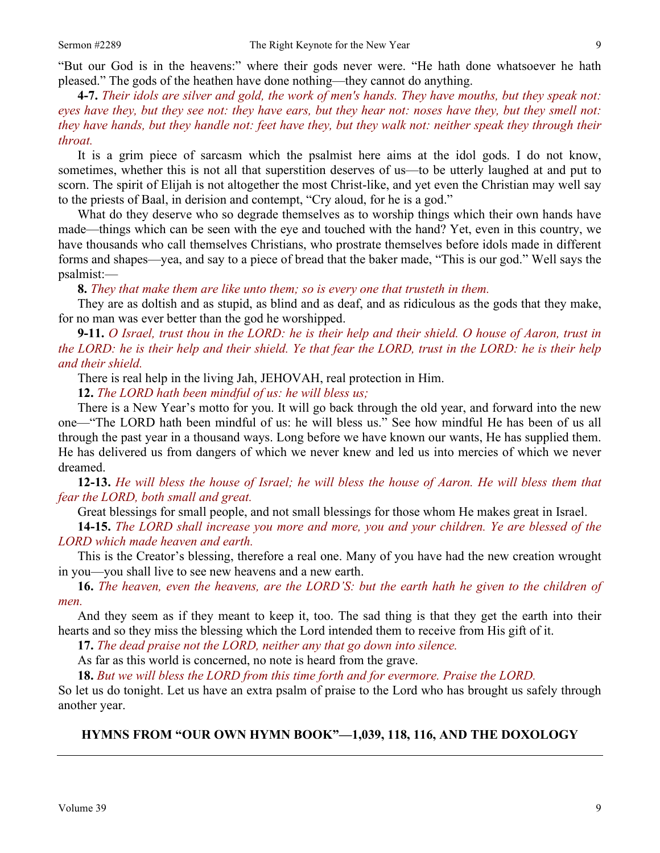"But our God is in the heavens:" where their gods never were. "He hath done whatsoever he hath pleased." The gods of the heathen have done nothing—they cannot do anything.

**4-7.** *Their idols are silver and gold, the work of men's hands. They have mouths, but they speak not: eyes have they, but they see not: they have ears, but they hear not: noses have they, but they smell not: they have hands, but they handle not: feet have they, but they walk not: neither speak they through their throat.* 

It is a grim piece of sarcasm which the psalmist here aims at the idol gods. I do not know, sometimes, whether this is not all that superstition deserves of us—to be utterly laughed at and put to scorn. The spirit of Elijah is not altogether the most Christ-like, and yet even the Christian may well say to the priests of Baal, in derision and contempt, "Cry aloud, for he is a god."

What do they deserve who so degrade themselves as to worship things which their own hands have made—things which can be seen with the eye and touched with the hand? Yet, even in this country, we have thousands who call themselves Christians, who prostrate themselves before idols made in different forms and shapes—yea, and say to a piece of bread that the baker made, "This is our god." Well says the psalmist:—

**8.** *They that make them are like unto them; so is every one that trusteth in them.* 

They are as doltish and as stupid, as blind and as deaf, and as ridiculous as the gods that they make, for no man was ever better than the god he worshipped.

**9-11.** *O Israel, trust thou in the LORD: he is their help and their shield. O house of Aaron, trust in the LORD: he is their help and their shield. Ye that fear the LORD, trust in the LORD: he is their help and their shield.* 

There is real help in the living Jah, JEHOVAH, real protection in Him.

**12.** *The LORD hath been mindful of us: he will bless us;* 

There is a New Year's motto for you. It will go back through the old year, and forward into the new one—"The LORD hath been mindful of us: he will bless us." See how mindful He has been of us all through the past year in a thousand ways. Long before we have known our wants, He has supplied them. He has delivered us from dangers of which we never knew and led us into mercies of which we never dreamed.

**12-13.** *He will bless the house of Israel; he will bless the house of Aaron. He will bless them that fear the LORD, both small and great.* 

Great blessings for small people, and not small blessings for those whom He makes great in Israel.

**14-15.** *The LORD shall increase you more and more, you and your children. Ye are blessed of the LORD which made heaven and earth.* 

This is the Creator's blessing, therefore a real one. Many of you have had the new creation wrought in you—you shall live to see new heavens and a new earth.

**16.** *The heaven, even the heavens, are the LORD'S: but the earth hath he given to the children of men.* 

And they seem as if they meant to keep it, too. The sad thing is that they get the earth into their hearts and so they miss the blessing which the Lord intended them to receive from His gift of it.

**17.** *The dead praise not the LORD, neither any that go down into silence.* 

As far as this world is concerned, no note is heard from the grave.

**18.** *But we will bless the LORD from this time forth and for evermore. Praise the LORD.* 

So let us do tonight. Let us have an extra psalm of praise to the Lord who has brought us safely through another year.

## **HYMNS FROM "OUR OWN HYMN BOOK"—1,039, 118, 116, AND THE DOXOLOGY**